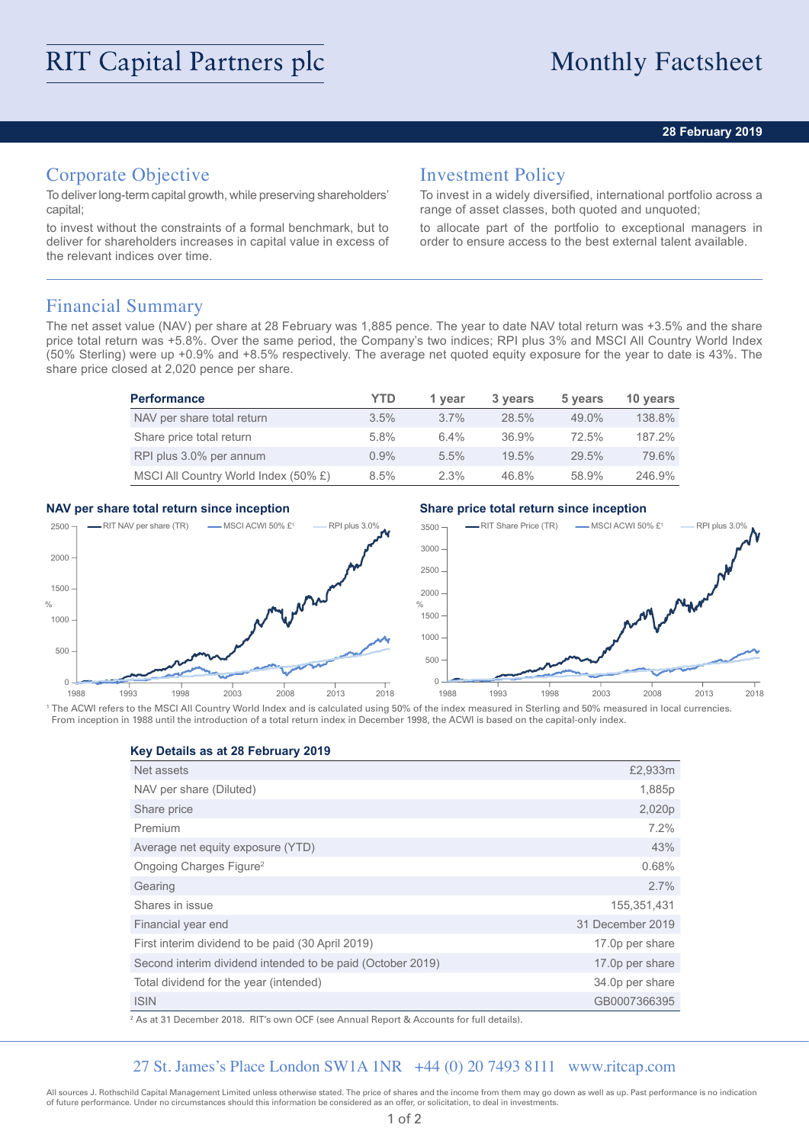## **28 February 2019**

# Corporate Objective

To deliver long-term capital growth, while preserving shareholders' capital;

to invest without the constraints of a formal benchmark, but to deliver for shareholders increases in capital value in excess of the relevant indices over time.

# Investment Policy

To invest in a widely diversified, international portfolio across a range of asset classes, both quoted and unquoted;

to allocate part of the portfolio to exceptional managers in order to ensure access to the best external talent available.

## Financial Summary

The net asset value (NAV) per share at 28 February was 1,885 pence. The year to date NAV total return was +3.5% and the share price total return was +5.8%. Over the same period, the Company's two indices; RPI plus 3% and MSCI All Country World Index (50% Sterling) were up +0.9% and +8.5% respectively. The average net quoted equity exposure for the year to date is 43%. The share price closed at 2,020 pence per share.

| <b>Performance</b>                   | YTD     | 1 vear  | 3 years | 5 years | 10 years |
|--------------------------------------|---------|---------|---------|---------|----------|
| NAV per share total return           | $3.5\%$ | $3.7\%$ | 28.5%   | 49.0%   | 138.8%   |
| Share price total return             | 5.8%    | $6.4\%$ | 36.9%   | 72.5%   | 187.2%   |
| RPI plus 3.0% per annum              | $0.9\%$ | 5.5%    | 19.5%   | 29.5%   | 79.6%    |
| MSCI All Country World Index (50% £) | 8.5%    | 2.3%    | 46.8%   | 58.9%   | 246.9%   |

## **NAV per share total return since inception Share price total return since inception**



<sup>1</sup> The ACWI refers to the MSCI All Country World Index and is calculated using 50% of the index measured in Sterling and 50% measured in local currencies. From inception in 1988 until the introduction of a total return index in December 1998, the ACWI is based on the capital-only index.

### **Key Details as at 28 February 2019**

| Net assets                                                 | £2,933m          |
|------------------------------------------------------------|------------------|
| NAV per share (Diluted)                                    | 1,885p           |
| Share price                                                | 2,020p           |
| Premium                                                    | 7.2%             |
| Average net equity exposure (YTD)                          | 43%              |
| Ongoing Charges Figure <sup>2</sup>                        | 0.68%            |
| Gearing                                                    | 2.7%             |
| Shares in issue                                            | 155,351,431      |
| Financial year end                                         | 31 December 2019 |
| First interim dividend to be paid (30 April 2019)          | 17.0p per share  |
| Second interim dividend intended to be paid (October 2019) | 17.0p per share  |
| Total dividend for the year (intended)                     | 34.0p per share  |
| <b>ISIN</b>                                                | GB0007366395     |

2 As at 31 December 2018. RIT's own OCF (see Annual Report & Accounts for full details).

## 27 St. James's Place London SW1A 1NR +44 (0) 20 7493 8111 www.ritcap.com

All sources J. Rothschild Capital Management Limited unless otherwise stated. The price of shares and the income from them may go down as well as up. Past performance is no indication of future performance. Under no circumstances should this information be considered as an offer, or solicitation, to deal in investments.